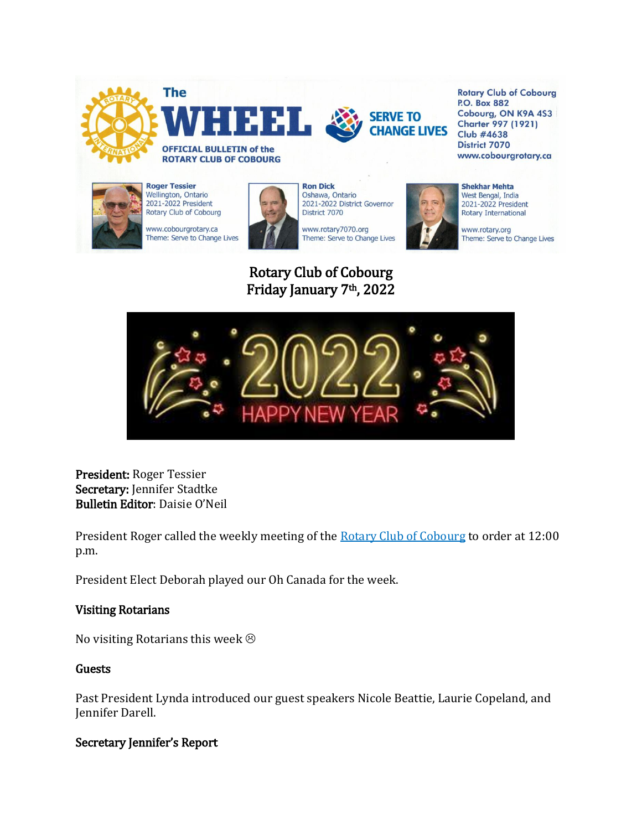



**Roger Tessier** Wellington, Ontario<br>2021-2022 President Rotary Club of Cobourg

www.cobourgrotary.ca Theme: Serve to Change Lives



**Ron Dick** Oshawa, Ontario 2021-2022 District Governor District 7070

**SERVE TO** 

**CHANGE LIVES** 

www.rotary7070.org Theme: Serve to Change Lives

Rotary Club of Cobourg Friday January 7<sup>th</sup>, 2022 **Rotary Club of Cobourg P.O. Box 882** Cobourg, ON K9A 4S3 **Charter 997 (1921) Club #4638** District 7070 www.cobourgrotary.ca

**Shekhar Mehta** 

West Bengal, India 2021-2022 President Rotary International

www.rotary.org Theme: Serve to Change Lives



President: Roger Tessier Secretary: Jennifer Stadtke Bulletin Editor: Daisie O'Neil

President Roger called the weekly meeting of th[e Rotary Club of Cobourg](http://cobourgrotary.ca/) to order at 12:00 p.m.

President Elect Deborah played our Oh Canada for the week.

### Visiting Rotarians

No visiting Rotarians this week  $\odot$ 

### Guests

Past President Lynda introduced our guest speakers Nicole Beattie, Laurie Copeland, and Jennifer Darell.

### Secretary Jennifer's Report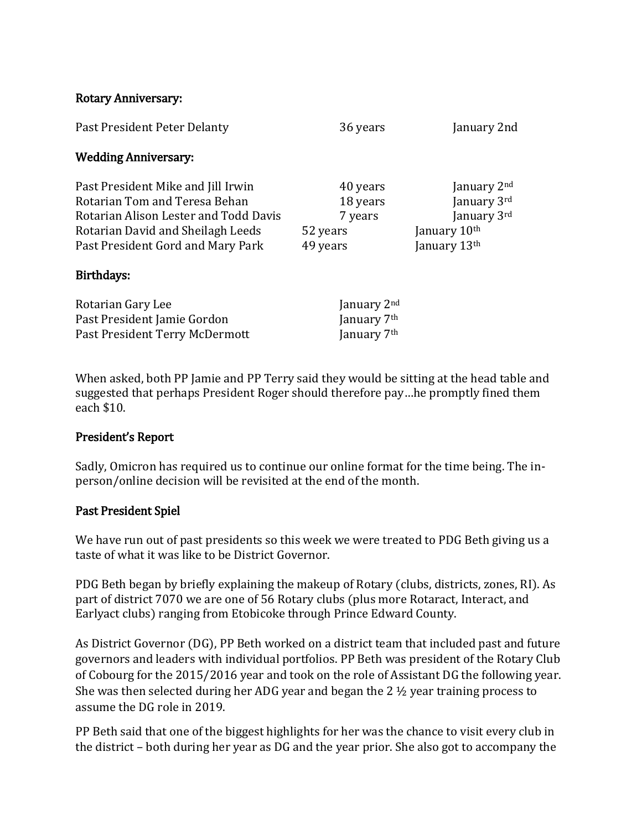#### Rotary Anniversary:

| Past President Peter Delanty                                                                                                                                                           | 36 years                                                | January 2nd                                                                                                   |
|----------------------------------------------------------------------------------------------------------------------------------------------------------------------------------------|---------------------------------------------------------|---------------------------------------------------------------------------------------------------------------|
| <b>Wedding Anniversary:</b>                                                                                                                                                            |                                                         |                                                                                                               |
| Past President Mike and Jill Irwin<br>Rotarian Tom and Teresa Behan<br>Rotarian Alison Lester and Todd Davis<br>Rotarian David and Sheilagh Leeds<br>Past President Gord and Mary Park | 40 years<br>18 years<br>7 years<br>52 years<br>49 years | January 2 <sup>nd</sup><br>January 3rd<br>January 3rd<br>January 10 <sup>th</sup><br>January 13 <sup>th</sup> |
| Birthdays:                                                                                                                                                                             |                                                         |                                                                                                               |
| Rotarian Gary Lee<br>Past President Jamie Gordon                                                                                                                                       | January 2 <sup>nd</sup><br>January 7 <sup>th</sup>      |                                                                                                               |

Past President Terry McDermott January 7<sup>th</sup>

When asked, both PP Jamie and PP Terry said they would be sitting at the head table and suggested that perhaps President Roger should therefore pay…he promptly fined them each \$10.

### President's Report

Sadly, Omicron has required us to continue our online format for the time being. The inperson/online decision will be revisited at the end of the month.

### Past President Spiel

We have run out of past presidents so this week we were treated to PDG Beth giving us a taste of what it was like to be District Governor.

PDG Beth began by briefly explaining the makeup of Rotary (clubs, districts, zones, RI). As part of district 7070 we are one of 56 Rotary clubs (plus more Rotaract, Interact, and Earlyact clubs) ranging from Etobicoke through Prince Edward County.

As District Governor (DG), PP Beth worked on a district team that included past and future governors and leaders with individual portfolios. PP Beth was president of the Rotary Club of Cobourg for the 2015/2016 year and took on the role of Assistant DG the following year. She was then selected during her ADG year and began the 2 ½ year training process to assume the DG role in 2019.

PP Beth said that one of the biggest highlights for her was the chance to visit every club in the district – both during her year as DG and the year prior. She also got to accompany the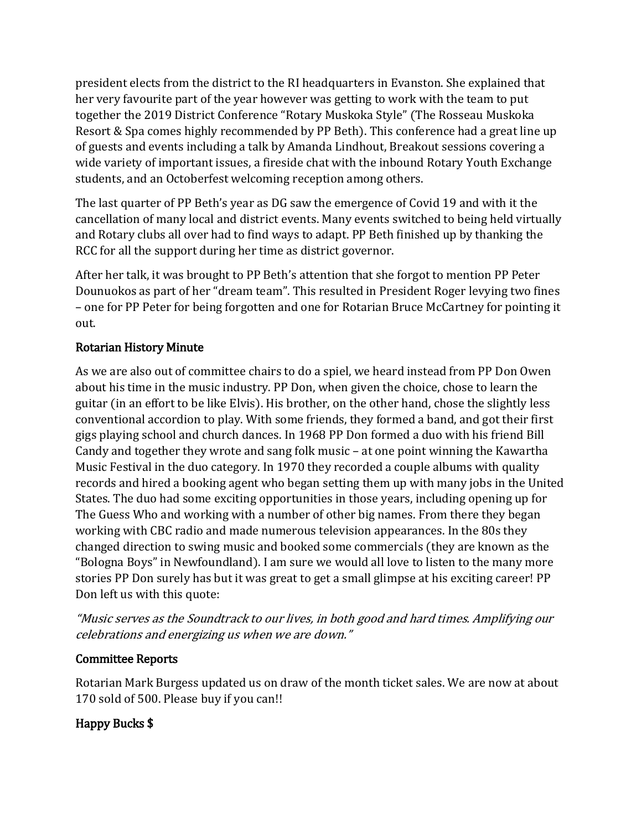president elects from the district to the RI headquarters in Evanston. She explained that her very favourite part of the year however was getting to work with the team to put together the 2019 District Conference "Rotary Muskoka Style" (The Rosseau Muskoka Resort & Spa comes highly recommended by PP Beth). This conference had a great line up of guests and events including a talk by Amanda Lindhout, Breakout sessions covering a wide variety of important issues, a fireside chat with the inbound Rotary Youth Exchange students, and an Octoberfest welcoming reception among others.

The last quarter of PP Beth's year as DG saw the emergence of Covid 19 and with it the cancellation of many local and district events. Many events switched to being held virtually and Rotary clubs all over had to find ways to adapt. PP Beth finished up by thanking the RCC for all the support during her time as district governor.

After her talk, it was brought to PP Beth's attention that she forgot to mention PP Peter Dounuokos as part of her "dream team". This resulted in President Roger levying two fines – one for PP Peter for being forgotten and one for Rotarian Bruce McCartney for pointing it out.

# Rotarian History Minute

As we are also out of committee chairs to do a spiel, we heard instead from PP Don Owen about his time in the music industry. PP Don, when given the choice, chose to learn the guitar (in an effort to be like Elvis). His brother, on the other hand, chose the slightly less conventional accordion to play. With some friends, they formed a band, and got their first gigs playing school and church dances. In 1968 PP Don formed a duo with his friend Bill Candy and together they wrote and sang folk music – at one point winning the Kawartha Music Festival in the duo category. In 1970 they recorded a couple albums with quality records and hired a booking agent who began setting them up with many jobs in the United States. The duo had some exciting opportunities in those years, including opening up for The Guess Who and working with a number of other big names. From there they began working with CBC radio and made numerous television appearances. In the 80s they changed direction to swing music and booked some commercials (they are known as the "Bologna Boys" in Newfoundland). I am sure we would all love to listen to the many more stories PP Don surely has but it was great to get a small glimpse at his exciting career! PP Don left us with this quote:

"Music serves as the Soundtrack to our lives, in both good and hard times. Amplifying our celebrations and energizing us when we are down."

# Committee Reports

Rotarian Mark Burgess updated us on draw of the month ticket sales. We are now at about 170 sold of 500. Please buy if you can!!

# Happy Bucks \$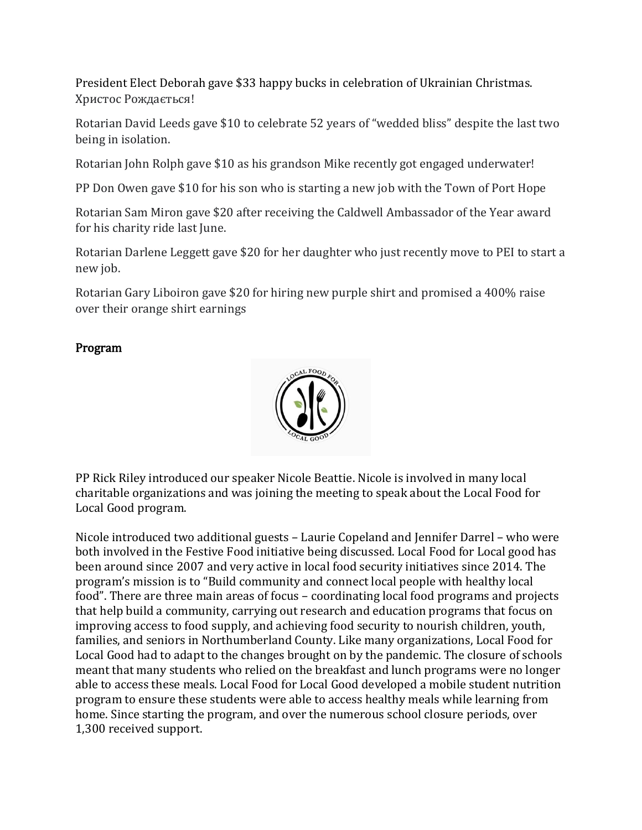President Elect Deborah gave \$33 happy bucks in celebration of Ukrainian Christmas. Христос Рождається!

Rotarian David Leeds gave \$10 to celebrate 52 years of "wedded bliss" despite the last two being in isolation.

Rotarian John Rolph gave \$10 as his grandson Mike recently got engaged underwater!

PP Don Owen gave \$10 for his son who is starting a new job with the Town of Port Hope

Rotarian Sam Miron gave \$20 after receiving the Caldwell Ambassador of the Year award for his charity ride last June.

Rotarian Darlene Leggett gave \$20 for her daughter who just recently move to PEI to start a new job.

Rotarian Gary Liboiron gave \$20 for hiring new purple shirt and promised a 400% raise over their orange shirt earnings

### Program



PP Rick Riley introduced our speaker Nicole Beattie. Nicole is involved in many local charitable organizations and was joining the meeting to speak about the Local Food for Local Good program.

Nicole introduced two additional guests – Laurie Copeland and Jennifer Darrel – who were both involved in the Festive Food initiative being discussed. Local Food for Local good has been around since 2007 and very active in local food security initiatives since 2014. The program's mission is to "Build community and connect local people with healthy local food". There are three main areas of focus – coordinating local food programs and projects that help build a community, carrying out research and education programs that focus on improving access to food supply, and achieving food security to nourish children, youth, families, and seniors in Northumberland County. Like many organizations, Local Food for Local Good had to adapt to the changes brought on by the pandemic. The closure of schools meant that many students who relied on the breakfast and lunch programs were no longer able to access these meals. Local Food for Local Good developed a mobile student nutrition program to ensure these students were able to access healthy meals while learning from home. Since starting the program, and over the numerous school closure periods, over 1,300 received support.